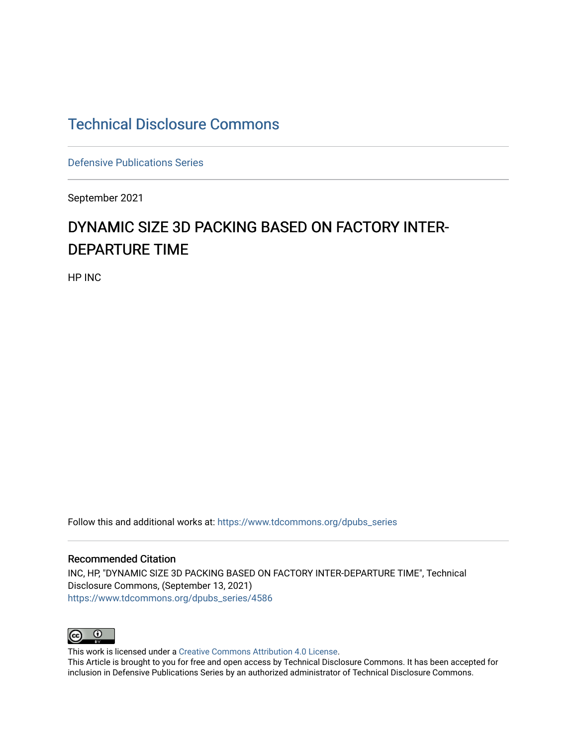# [Technical Disclosure Commons](https://www.tdcommons.org/)

[Defensive Publications Series](https://www.tdcommons.org/dpubs_series)

September 2021

# DYNAMIC SIZE 3D PACKING BASED ON FACTORY INTER-DEPARTURE TIME

HP INC

Follow this and additional works at: [https://www.tdcommons.org/dpubs\\_series](https://www.tdcommons.org/dpubs_series?utm_source=www.tdcommons.org%2Fdpubs_series%2F4586&utm_medium=PDF&utm_campaign=PDFCoverPages) 

#### Recommended Citation

INC, HP, "DYNAMIC SIZE 3D PACKING BASED ON FACTORY INTER-DEPARTURE TIME", Technical Disclosure Commons, (September 13, 2021) [https://www.tdcommons.org/dpubs\\_series/4586](https://www.tdcommons.org/dpubs_series/4586?utm_source=www.tdcommons.org%2Fdpubs_series%2F4586&utm_medium=PDF&utm_campaign=PDFCoverPages)



This work is licensed under a [Creative Commons Attribution 4.0 License](http://creativecommons.org/licenses/by/4.0/deed.en_US).

This Article is brought to you for free and open access by Technical Disclosure Commons. It has been accepted for inclusion in Defensive Publications Series by an authorized administrator of Technical Disclosure Commons.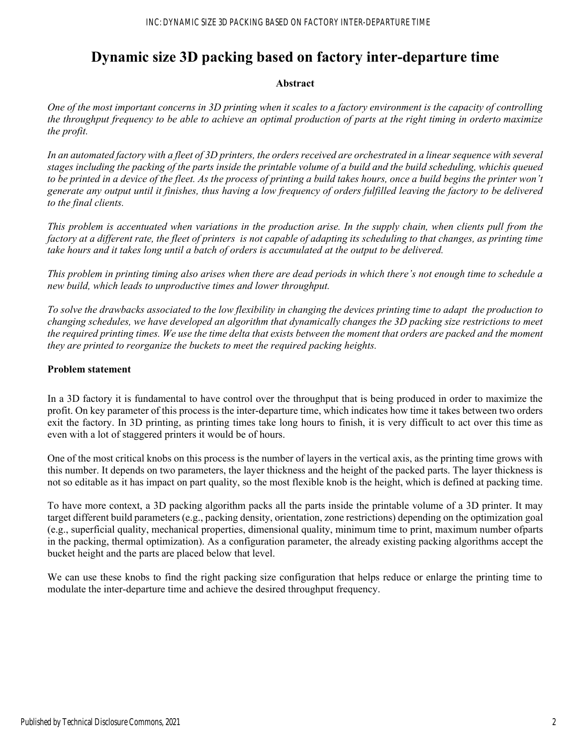# **Dynamic size 3D packing based on factory inter-departure time**

# **Abstract**

*One of the most important concerns in 3D printing when it scales to a factory environment is the capacity of controlling the throughput frequency to be able to achieve an optimal production of parts at the right timing in order to maximize the profit.* 

In an automated factory with a fleet of 3D printers, the orders received are orchestrated in a linear sequence with several *stages including the packing of the parts inside the printable volume of a build and the build scheduling, whichis queued to be printed in a device of the fleet. As the process of printing a build takes hours, once a build begins the printer won't generate any output until it finishes, thus having a low frequency of orders fulfilled leaving the factory to be delivered to the final clients.* 

*This problem is accentuated when variations in the production arise. In the supply chain, when clients pull from the factory at a different rate, the fleet of printers is not capable of adapting its scheduling to that changes, as printing time take hours and it takes long until a batch of orders is accumulated at the output to be delivered.* 

*This problem in printing timing also arises when there are dead periods in which there's not enough time to schedule a new build, which leads to unproductive times and lower throughput.* 

*To solve the drawbacks associated to the low flexibility in changing the devices printing time to adapt the production to changing schedules, we have developed an algorithm that dynamically changes the 3D packing size restrictions to meet the required printing times. We use the time delta that exists between the moment that orders are packed and the moment they are printed to reorganize the buckets to meet the required packing heights.* 

#### **Problem statement**

In a 3D factory it is fundamental to have control over the throughput that is being produced in order to maximize the profit. On key parameter of this process is the inter-departure time, which indicates how time it takes between two orders exit the factory. In 3D printing, as printing times take long hours to finish, it is very difficult to act over this time as even with a lot of staggered printers it would be of hours.

One of the most critical knobs on this process is the number of layers in the vertical axis, as the printing time grows with this number. It depends on two parameters, the layer thickness and the height of the packed parts. The layer thickness is not so editable as it has impact on part quality, so the most flexible knob is the height, which is defined at packing time.

To have more context, a 3D packing algorithm packs all the parts inside the printable volume of a 3D printer. It may target different build parameters (e.g., packing density, orientation, zone restrictions) depending on the optimization goal (e.g., superficial quality, mechanical properties, dimensional quality, minimum time to print, maximum number of parts in the packing, thermal optimization). As a configuration parameter, the already existing packing algorithms accept the bucket height and the parts are placed below that level.

We can use these knobs to find the right packing size configuration that helps reduce or enlarge the printing time to modulate the inter-departure time and achieve the desired throughput frequency.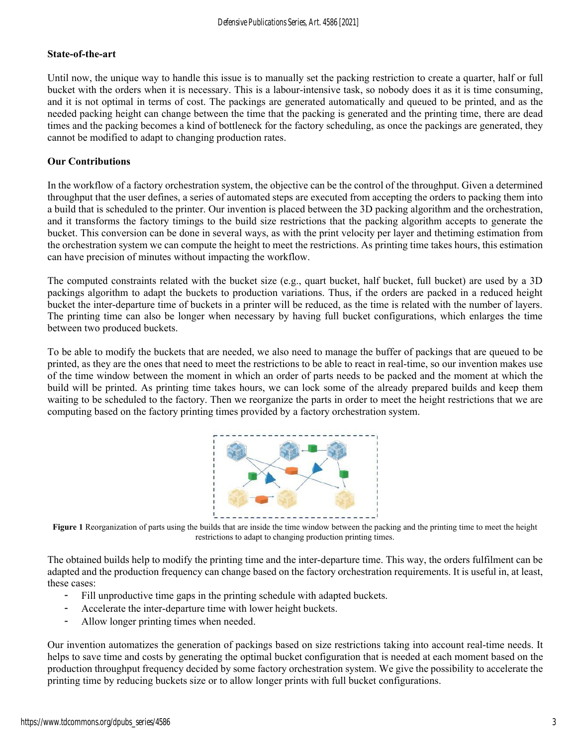#### **State-of-the-art**

Until now, the unique way to handle this issue is to manually set the packing restriction to create a quarter, half or full bucket with the orders when it is necessary. This is a labour-intensive task, so nobody does it as it is time consuming, and it is not optimal in terms of cost. The packings are generated automatically and queued to be printed, and as the needed packing height can change between the time that the packing is generated and the printing time, there are dead times and the packing becomes a kind of bottleneck for the factory scheduling, as once the packings are generated, they cannot be modified to adapt to changing production rates.

#### **Our Contributions**

In the workflow of a factory orchestration system, the objective can be the control of the throughput. Given a determined throughput that the user defines, a series of automated steps are executed from accepting the orders to packing them into a build that is scheduled to the printer. Our invention is placed between the 3D packing algorithm and the orchestration, and it transforms the factory timings to the build size restrictions that the packing algorithm accepts to generate the bucket. This conversion can be done in several ways, as with the print velocity per layer and the timing estimation from the orchestration system we can compute the height to meet the restrictions. As printing time takes hours, this estimation can have precision of minutes without impacting the workflow.

The computed constraints related with the bucket size (e.g., quart bucket, half bucket, full bucket) are used by a 3D packings algorithm to adapt the buckets to production variations. Thus, if the orders are packed in a reduced height bucket the inter-departure time of buckets in a printer will be reduced, as the time is related with the number of layers. The printing time can also be longer when necessary by having full bucket configurations, which enlarges the time between two produced buckets.

To be able to modify the buckets that are needed, we also need to manage the buffer of packings that are queued to be printed, as they are the ones that need to meet the restrictions to be able to react in real-time, so our invention makes use of the time window between the moment in which an order of parts needs to be packed and the moment at which the build will be printed. As printing time takes hours, we can lock some of the already prepared builds and keep them waiting to be scheduled to the factory. Then we reorganize the parts in order to meet the height restrictions that we are computing based on the factory printing times provided by a factory orchestration system.



**Figure 1** Reorganization of parts using the builds that are inside the time window between the packing and the printing time to meet the height restrictions to adapt to changing production printing times.

The obtained builds help to modify the printing time and the inter-departure time. This way, the orders fulfilment can be adapted and the production frequency can change based on the factory orchestration requirements. It is useful in, at least, these cases:

- Fill unproductive time gaps in the printing schedule with adapted buckets.
- Accelerate the inter-departure time with lower height buckets.
- Allow longer printing times when needed.

Our invention automatizes the generation of packings based on size restrictions taking into account real-time needs. It helps to save time and costs by generating the optimal bucket configuration that is needed at each moment based on the production throughput frequency decided by some factory orchestration system. We give the possibility to accelerate the printing time by reducing buckets size or to allow longer prints with full bucket configurations.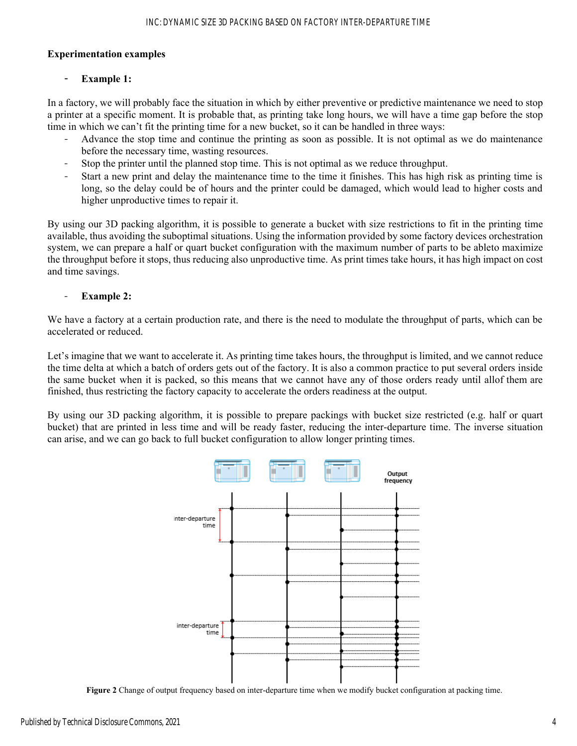## **Experimentation examples**

# Example 1:

In a factory, we will probably face the situation in which by either preventive or predictive maintenance we need to stop a printer at a specific moment. It is probable that, as printing take long hours, we will have a time gap before the stop time in which we can't fit the printing time for a new bucket, so it can be handled in three ways:

- Advance the stop time and continue the printing as soon as possible. It is not optimal as we do maintenance before the necessary time, wasting resources.
- Stop the printer until the planned stop time. This is not optimal as we reduce throughput.
- Start a new print and delay the maintenance time to the time it finishes. This has high risk as printing time is long, so the delay could be of hours and the printer could be damaged, which would lead to higher costs and higher unproductive times to repair it.

By using our 3D packing algorithm, it is possible to generate a bucket with size restrictions to fit in the printing time available, thus avoiding the suboptimal situations. Using the information provided by some factory devices orchestration system, we can prepare a half or quart bucket configuration with the maximum number of parts to be able to maximize the throughput before it stops, thus reducing also unproductive time. As print times take hours, it has high impact on cost and time savings.

# **Example 2:**

We have a factory at a certain production rate, and there is the need to modulate the throughput of parts, which can be accelerated or reduced.

Let's imagine that we want to accelerate it. As printing time takes hours, the throughput is limited, and we cannot reduce the time delta at which a batch of orders gets out of the factory. It is also a common practice to put several orders inside the same bucket when it is packed, so this means that we cannot have any of those orders ready until all of them are finished, thus restricting the factory capacity to accelerate the orders readiness at the output.

By using our 3D packing algorithm, it is possible to prepare packings with bucket size restricted (e.g. half or quart bucket) that are printed in less time and will be ready faster, reducing the inter-departure time. The inverse situation can arise, and we can go back to full bucket configuration to allow longer printing times.



**Figure 2** Change of output frequency based on inter-departure time when we modify bucket configuration at packing time.